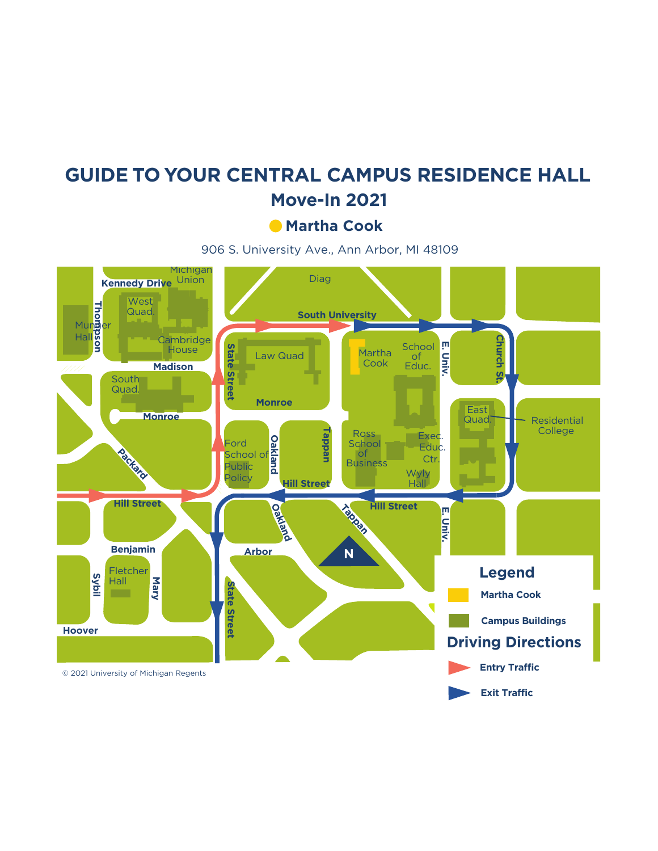## **GUIDE TO YOUR CENTRAL CAMPUS RESIDENCE HALL Move-In 2021**

**Martha Cook**

906 S. University Ave., Ann Arbor, MI 48109